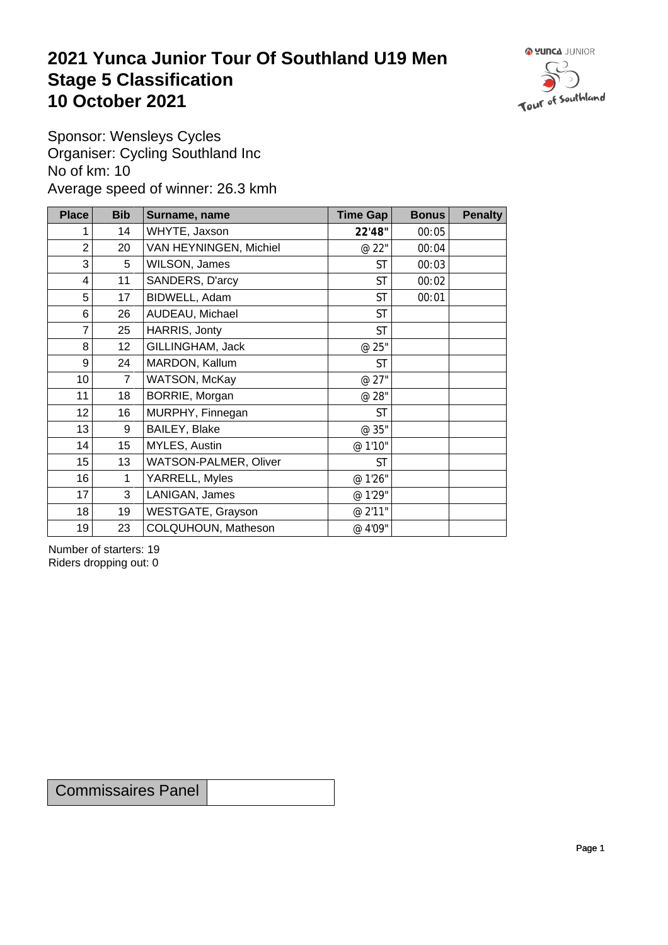## **2021 Yunca Junior Tour Of Southland U19 Men** Stage 5 Classification<br>10 October 2021 **10 October 2021**



Sponsor: Wensleys Cycles Organiser: Cycling Southland Inc No of km: 10 Average speed of winner: 26.3 kmh

| <b>Place</b>    | <b>Bib</b>       | Surname, name          | Time Gap  | <b>Bonus</b> | <b>Penalty</b> |
|-----------------|------------------|------------------------|-----------|--------------|----------------|
|                 | 14               | WHYTE, Jaxson          | 22'48"    | 00:05        |                |
| 2               | 20               | VAN HEYNINGEN, Michiel | @ 22"     | 00:04        |                |
| 3               | 5                | WILSON, James          | <b>ST</b> | 00:03        |                |
| 4               | 11               | SANDERS, D'arcy        | <b>ST</b> | 00:02        |                |
| 5               | 17               | BIDWELL, Adam          | <b>ST</b> | 00:01        |                |
| 6               | 26               | AUDEAU, Michael        | <b>ST</b> |              |                |
| 7               | 25               | HARRIS, Jonty          | <b>ST</b> |              |                |
| 8               | 12 <sub>2</sub>  | GILLINGHAM, Jack       | @ 25"     |              |                |
| 9               | 24               | MARDON, Kallum         | <b>ST</b> |              |                |
| 10 <sup>°</sup> | $\overline{7}$   | WATSON, McKay          | @ 27"     |              |                |
| 11              | 18               | BORRIE, Morgan         | @ 28"     |              |                |
| 12              | 16               | MURPHY, Finnegan       | <b>ST</b> |              |                |
| 13              | 9                | BAILEY, Blake          | @ 35"     |              |                |
| 14              | 15 <sup>15</sup> | MYLES, Austin          | @ 1'10"   |              |                |
| 15              | 13               | WATSON-PALMER, Oliver  | <b>ST</b> |              |                |
| 16              | $\mathbf 1$      | YARRELL, Myles         | @ 1'26"   |              |                |
| 17              | 3                | LANIGAN, James         | @ 1'29"   |              |                |
| 18              | 19               | WESTGATE, Grayson      | @ 2'11"   |              |                |
| 19              | 23               | COLQUHOUN, Matheson    | @ 4'09"   |              |                |

Number of starters: 19 Riders dropping out: 0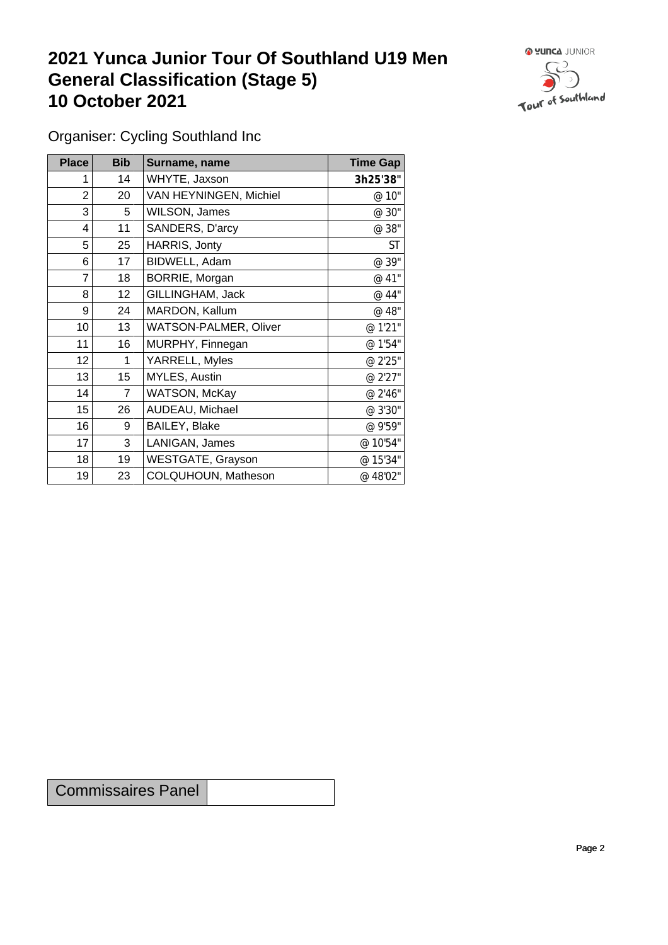## **2021 Yunca Junior Tour Of Southland U19 Men General Classification (Stage 5)**<br>10 October 2021 **10 October 2021**



Organiser: Cycling Southland Inc

| Place           | <b>Bib</b>      | Surname, name                | <b>Time Gap</b> |
|-----------------|-----------------|------------------------------|-----------------|
|                 | 14              | WHYTE, Jaxson                | 3h25'38"        |
| 2               | 20              | VAN HEYNINGEN, Michiel       | @ 10"           |
| 3               | 5               | WILSON, James                | @ 30"           |
| 4               | 11              | SANDERS, D'arcy              | @ 38"           |
| 5               | 25              | HARRIS, Jonty                | <b>ST</b>       |
| 6               | 17              | BIDWELL, Adam                | @ 39"           |
| 7               | 18              | BORRIE, Morgan               | @ 41"           |
| 8               | 12 <sub>2</sub> | GILLINGHAM, Jack             | @ 44"           |
| 9               | 24              | MARDON, Kallum               | @ 48"           |
| 10 <sup>1</sup> | 13              | <b>WATSON-PALMER, Oliver</b> | @ 1'21"         |
| 11              | 16              | MURPHY, Finnegan             | @ 1'54"         |
| 12              | 1               | YARRELL, Myles               | @ 2'25"         |
| 13              | 15              | MYLES, Austin                | @ 2'27"         |
| 14              | $\overline{7}$  | WATSON, McKay                | @ 2'46"         |
| 15              | 26              | AUDEAU, Michael              | @ 3'30"         |
| 16              | 9               | BAILEY, Blake                | @ 9'59"         |
| 17              | 3               | LANIGAN, James               | @ 10'54"        |
| 18              | 19              | <b>WESTGATE, Grayson</b>     | @ 15'34"        |
| 19              | 23              | COLQUHOUN, Matheson          | @ 48'02"        |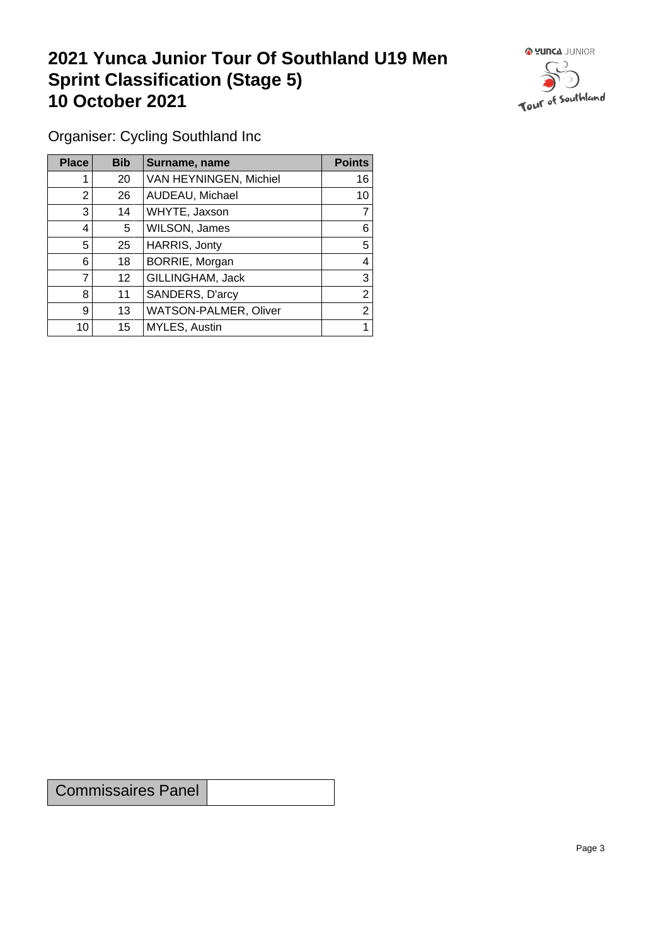## **2021 Yunca Junior Tour Of Southland U19 Men Sprint Classification (Stage 5) 10 October 2021 10 October 2021**



Organiser: Cycling Southland Inc

| <b>Place</b> | <b>Bib</b>      | Surname, name          | <b>Points</b>  |
|--------------|-----------------|------------------------|----------------|
|              | 20              | VAN HEYNINGEN, Michiel | 16             |
| 2            | 26              | AUDEAU, Michael        | 10             |
| 3            | 14              | WHYTE, Jaxson          |                |
| 4            | 5               | WILSON, James          | 6              |
| 5            | 25              | HARRIS, Jonty          | 5              |
| 6            | 18              | BORRIE, Morgan         | 4              |
| 7            | 12 <sup>°</sup> | GILLINGHAM, Jack       | 3              |
| 8            | 11              | SANDERS, D'arcy        | 2              |
| 9            | 13              | WATSON-PALMER, Oliver  | $\overline{2}$ |
| 10           | 15              | MYLES, Austin          |                |